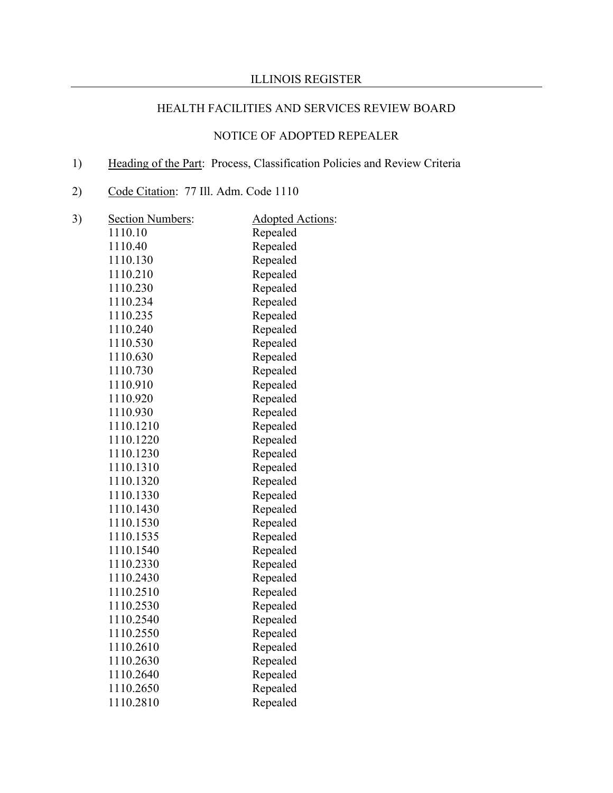# HEALTH FACILITIES AND SERVICES REVIEW BOARD

## NOTICE OF ADOPTED REPEALER

# 1) Heading of the Part: Process, Classification Policies and Review Criteria

2) Code Citation: 77 Ill. Adm. Code 1110

| 3) | <b>Section Numbers:</b> | <b>Adopted Actions:</b> |
|----|-------------------------|-------------------------|
|    | 1110.10                 | Repealed                |
|    | 1110.40                 | Repealed                |
|    | 1110.130                | Repealed                |
|    | 1110.210                | Repealed                |
|    | 1110.230                | Repealed                |
|    | 1110.234                | Repealed                |
|    | 1110.235                | Repealed                |
|    | 1110.240                | Repealed                |
|    | 1110.530                | Repealed                |
|    | 1110.630                | Repealed                |
|    | 1110.730                | Repealed                |
|    | 1110.910                | Repealed                |
|    | 1110.920                | Repealed                |
|    | 1110.930                | Repealed                |
|    | 1110.1210               | Repealed                |
|    | 1110.1220               | Repealed                |
|    | 1110.1230               | Repealed                |
|    | 1110.1310               | Repealed                |
|    | 1110.1320               | Repealed                |
|    | 1110.1330               | Repealed                |
|    | 1110.1430               | Repealed                |
|    | 1110.1530               | Repealed                |
|    | 1110.1535               | Repealed                |
|    | 1110.1540               | Repealed                |
|    | 1110.2330               | Repealed                |
|    | 1110.2430               | Repealed                |
|    | 1110.2510               | Repealed                |
|    | 1110.2530               | Repealed                |
|    | 1110.2540               | Repealed                |
|    | 1110.2550               | Repealed                |
|    | 1110.2610               | Repealed                |
|    | 1110.2630               | Repealed                |
|    | 1110.2640               | Repealed                |
|    | 1110.2650               | Repealed                |
|    | 1110.2810               | Repealed                |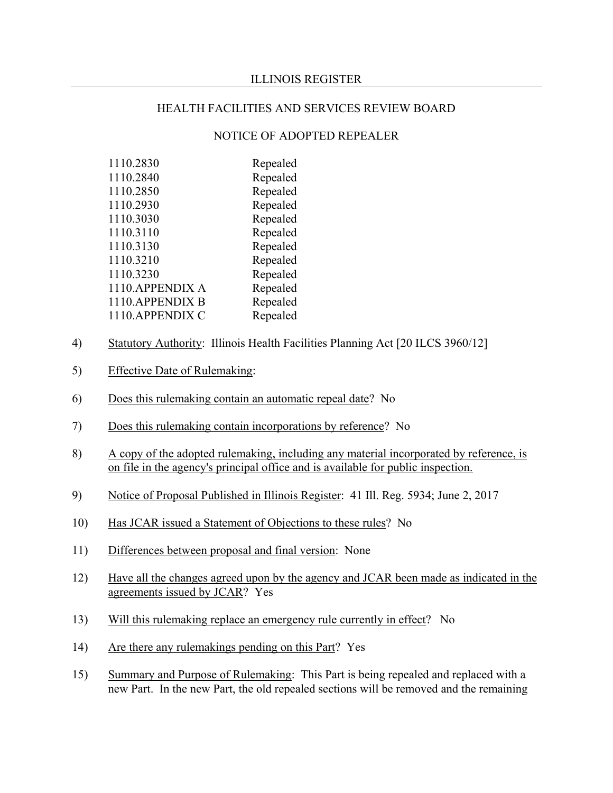### HEALTH FACILITIES AND SERVICES REVIEW BOARD

### NOTICE OF ADOPTED REPEALER

| 1110.2830        | Repealed |
|------------------|----------|
| 1110.2840        | Repealed |
| 1110.2850        | Repealed |
| 1110.2930        | Repealed |
| 1110.3030        | Repealed |
| 1110.3110        | Repealed |
| 1110.3130        | Repealed |
| 1110.3210        | Repealed |
| 1110.3230        | Repealed |
| 1110. APPENDIX A | Repealed |
| 1110.APPENDIX B  | Repealed |
| 1110. APPENDIX C | Repealed |
|                  |          |

- 4) Statutory Authority: Illinois Health Facilities Planning Act [20 ILCS 3960/12]
- 5) Effective Date of Rulemaking:
- 6) Does this rulemaking contain an automatic repeal date? No
- 7) Does this rulemaking contain incorporations by reference? No
- 8) A copy of the adopted rulemaking, including any material incorporated by reference, is on file in the agency's principal office and is available for public inspection.
- 9) Notice of Proposal Published in Illinois Register: 41 Ill. Reg. 5934; June 2, 2017
- 10) Has JCAR issued a Statement of Objections to these rules? No
- 11) Differences between proposal and final version: None
- 12) Have all the changes agreed upon by the agency and JCAR been made as indicated in the agreements issued by JCAR? Yes
- 13) Will this rulemaking replace an emergency rule currently in effect? No
- 14) Are there any rulemakings pending on this Part? Yes
- 15) Summary and Purpose of Rulemaking: This Part is being repealed and replaced with a new Part. In the new Part, the old repealed sections will be removed and the remaining